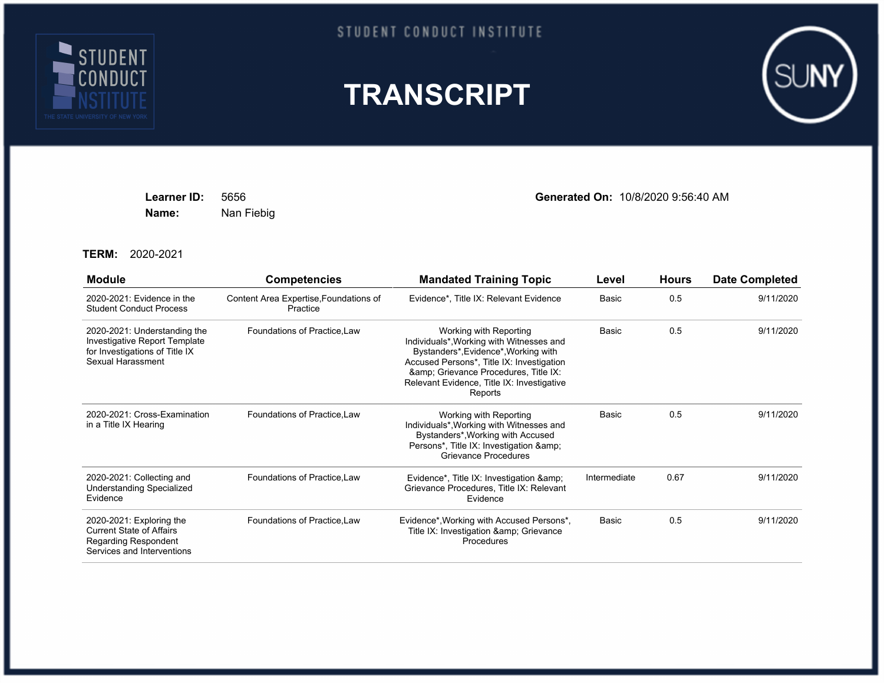

## STUDENT CONDUCT INSTITUTE





**Name:** Nan Fiebig

**Learner ID:** 5656 **Generated On:** 10/8/2020 9:56:40 AM

**TERM:** 2020-2021

| <b>Module</b>                                                                                                            | <b>Competencies</b>                                | <b>Mandated Training Topic</b>                                                                                                                                                                                                                        | Level        | <b>Hours</b> | <b>Date Completed</b> |
|--------------------------------------------------------------------------------------------------------------------------|----------------------------------------------------|-------------------------------------------------------------------------------------------------------------------------------------------------------------------------------------------------------------------------------------------------------|--------------|--------------|-----------------------|
| 2020-2021: Evidence in the<br><b>Student Conduct Process</b>                                                             | Content Area Expertise, Foundations of<br>Practice | Evidence*, Title IX: Relevant Evidence                                                                                                                                                                                                                | Basic        | 0.5          | 9/11/2020             |
| 2020-2021: Understanding the<br>Investigative Report Template<br>for Investigations of Title IX<br>Sexual Harassment     | Foundations of Practice, Law                       | Working with Reporting<br>Individuals*, Working with Witnesses and<br>Bystanders*, Evidence*, Working with<br>Accused Persons*, Title IX: Investigation<br>& Grievance Procedures, Title IX:<br>Relevant Evidence, Title IX: Investigative<br>Reports | <b>Basic</b> | 0.5          | 9/11/2020             |
| 2020-2021: Cross-Examination<br>in a Title IX Hearing                                                                    | Foundations of Practice, Law                       | Working with Reporting<br>Individuals*, Working with Witnesses and<br>Bystanders*, Working with Accused<br>Persons*, Title IX: Investigation & amp;<br>Grievance Procedures                                                                           | <b>Basic</b> | 0.5          | 9/11/2020             |
| 2020-2021: Collecting and<br><b>Understanding Specialized</b><br>Evidence                                                | Foundations of Practice, Law                       | Evidence*, Title IX: Investigation &<br>Grievance Procedures, Title IX: Relevant<br>Evidence                                                                                                                                                          | Intermediate | 0.67         | 9/11/2020             |
| 2020-2021: Exploring the<br><b>Current State of Affairs</b><br><b>Regarding Respondent</b><br>Services and Interventions | Foundations of Practice, Law                       | Evidence*, Working with Accused Persons*,<br>Title IX: Investigation & amp; Grievance<br>Procedures                                                                                                                                                   | Basic        | 0.5          | 9/11/2020             |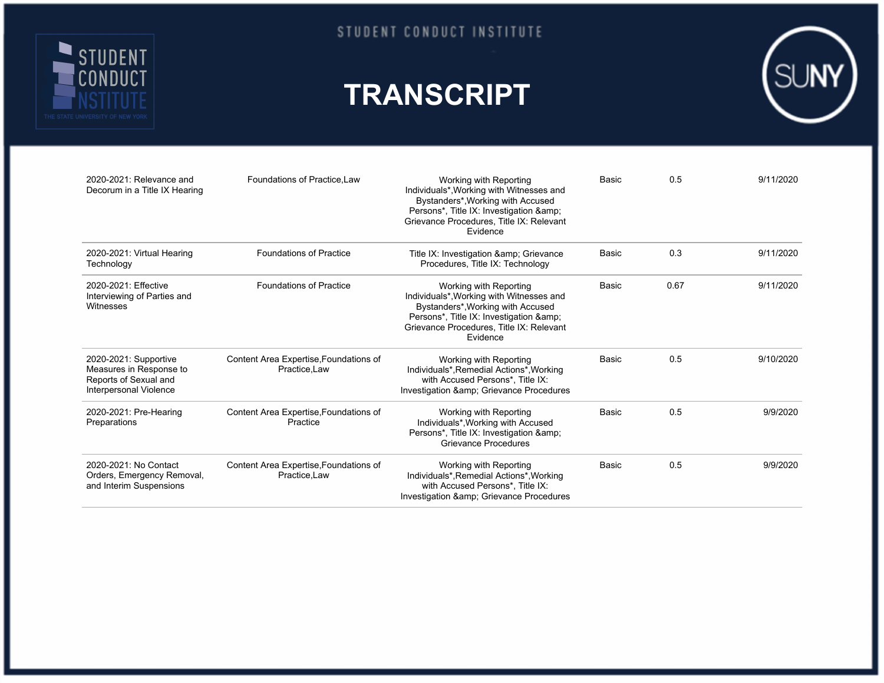

## **TRANSCRIPT**



| 2020-2021: Relevance and<br>Decorum in a Title IX Hearing                                           | Foundations of Practice Law                             | Working with Reporting<br>Individuals*, Working with Witnesses and<br>Bystanders*, Working with Accused<br>Persons*, Title IX: Investigation & amp;<br>Grievance Procedures, Title IX: Relevant<br>Evidence | <b>Basic</b> | 0.5  | 9/11/2020 |
|-----------------------------------------------------------------------------------------------------|---------------------------------------------------------|-------------------------------------------------------------------------------------------------------------------------------------------------------------------------------------------------------------|--------------|------|-----------|
| 2020-2021: Virtual Hearing<br>Technology                                                            | <b>Foundations of Practice</b>                          | Title IX: Investigation & amp; Grievance<br>Procedures, Title IX: Technology                                                                                                                                | Basic        | 0.3  | 9/11/2020 |
| 2020-2021: Effective<br>Interviewing of Parties and<br>Witnesses                                    | <b>Foundations of Practice</b>                          | Working with Reporting<br>Individuals*, Working with Witnesses and<br>Bystanders*, Working with Accused<br>Persons*, Title IX: Investigation &<br>Grievance Procedures, Title IX: Relevant<br>Evidence      | Basic        | 0.67 | 9/11/2020 |
| 2020-2021: Supportive<br>Measures in Response to<br>Reports of Sexual and<br>Interpersonal Violence | Content Area Expertise, Foundations of<br>Practice, Law | Working with Reporting<br>Individuals*, Remedial Actions*, Working<br>with Accused Persons*, Title IX:<br>Investigation & Grievance Procedures                                                              | <b>Basic</b> | 0.5  | 9/10/2020 |
| 2020-2021: Pre-Hearing<br>Preparations                                                              | Content Area Expertise, Foundations of<br>Practice      | Working with Reporting<br>Individuals*, Working with Accused<br>Persons*, Title IX: Investigation &<br>Grievance Procedures                                                                                 | Basic        | 0.5  | 9/9/2020  |
| 2020-2021: No Contact<br>Orders, Emergency Removal,<br>and Interim Suspensions                      | Content Area Expertise, Foundations of<br>Practice, Law | Working with Reporting<br>Individuals*, Remedial Actions*, Working<br>with Accused Persons*. Title IX:<br>Investigation & amp; Grievance Procedures                                                         | Basic        | 0.5  | 9/9/2020  |